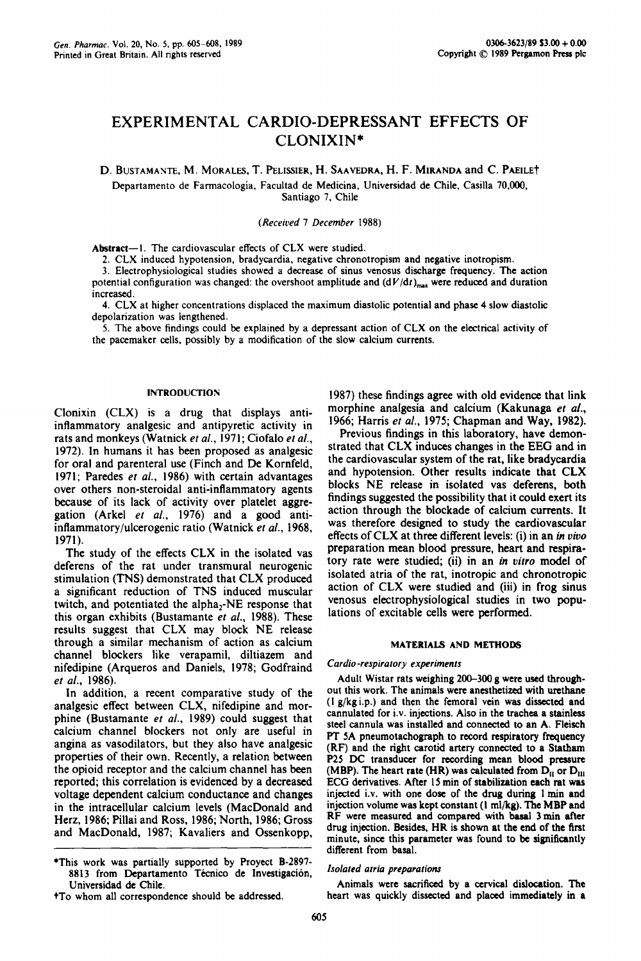# EXPERIMENTAL CARDIO-DEPRESSANT EFFECTS OF CLONIXIN\*

D. BUSTAMANTE, M. MORALES, T. PELISSIER, H. SAAVEDRA, H. F. MIRANDA and C. PAE1LET Departamento de Farmacologia, Facultad de Medicina, Universidad de Chile, Casilla 70,000, Santiago 7, Chile

*(Received 7 December* 1988)

Abstract--I. The cardiovascular effects of CLX were studied.

2. CLX induced hypotension, bradycardia, negative chronotropism and negative inotropism.

3. Electrophysiological studies showed a decrease of sinus venosus discharge frequency. The action potential configuration was changed: the overshoot amplitude and  $(dV/dt)_{max}$  were reduced and duration increased.

4. CLX at higher concentrations displaced the maximum diastolic potential and phase 4 slow diastolic depolarization was lengthened.

5. The above findings could be explained by a depressant action of CLX on the electrical activity of the pacemaker cells, possibly by a modification of the slow calcium currents.

### INTRODUCTION

Clonixin (CLX) is a drug that displays antiinflammatory analgesic and antipyretic activity in rats and monkeys (Watnick *et al.,* 1971; Ciofalo *et al.,*  1972). In humans it has been proposed as analgesic for oral and parenteral use (Finch and De Kornfeld, 1971; Paredes *et al.,* 1986) with certain advantages over others non-steroidal anti-inflammatory agents because of its lack of activity over platelet aggregation (Arkel *et al.,* 1976) and a good antiinflammatory/ulcerogenic ratio (Watnick *et al.,* 1968, 1971).

The study of the effects CLX in the isolated vas deferens of the rat under transmural neurogenic stimulation (TNS) demonstrated that CLX produced a significant reduction of TNS induced muscular twitch, and potentiated the alpha<sub>2</sub>-NE response that this organ exhibits (Bustamante *et al.,* 1988). These results suggest that CLX may block NE release through a similar mechanism of action as calcium channel blockers like verapamil, diltiazem and nifedipine (Arqueros and Daniels, 1978; Godfraind *et al.,* 1986).

In addition, a recent comparative study of the analgesic effect between CLX, nifedipine and morphine (Bustamante *et al.,* 1989) could suggest that calcium channel blockers not only are useful in angina as vasodilators, but they also have analgesic properties of their own. Recently, a relation between the opioid receptor and the calcium channel has been reported; this correlation is evidenced by a decreased voltage dependent calcium conductance and changes in the intracellular calcium levels (MacDonald and Herz, 1986; Pillai and Ross, 1986; North, 1986; Gross and MacDonald, 1987; Kavaliers and Ossenkopp, 1987) these findings agree with old evidence that link morphine analgesia and calcium (Kakunaga et al., 1966; Harris *et al.,* 1975; Chapman and Way, 1982).

Previous findings in this laboratory, have demonstrated that CLX induces changes in the EEG and in the cardiovascular system of the rat, like bradycardia and hypotension. Other results indicate that CLX blocks NE release in isolated vas deferens, both findings suggested the possibility that it could exert its action through the blockade of calcium currents. It was therefore designed to study the cardiovascular effects of CLX at three different levels: (i) in an *in vivo* preparation mean blood pressure, heart and respiratory rate were studied; (ii) in an *in vitro* model of isolated atria of the rat, inotropic and chronotropic action of CLX were studied and (iii) in frog sinus venosus electrophysiological studies in two populations of excitable cells were performed.

#### **MATERIALS AND METHODS**

## *Cardio-respiratory experiments*

Adult Wistar rats weighing 200-300 g were used throughout this work. The animals were anesthetized with urethane (l g/kgi.p.) and then the femoral vein was dissected and cannulated for i.v. injections. Also in the trachea a stainless steel cannula was installed and connected to an A. Fleisch PT 5A pneumotachograph to record respiratory frequency (RF) and the right carotid artery connected to a Statham P25 DC transducer for recording mean blood pressure (MBP). The heart rate (HR) was calculated from  $D_{II}$  or  $D_{III}$ ECG derivatives. After 15 min of stabilization each rat was injected i.v. with one dose of the drug during I min and injection volume was kept constant (I ml/kg). The MBP and RF were measured and compared with basal 3 min after drug injection. Besides, HR is shown at the end of the first minute, since this parameter was found to be significantly different from basal.

### *Isolated atria preparations*

Animals were sacrificed by a cervical dislocation. The heart was quickly dissected and placed immediately in a

<sup>\*</sup>This work was partially supported by Proyect B-2897- 8813 from Departamento Técnico de Investigación, Universidad de Chile.

tTo whom all correspondence should be addressed.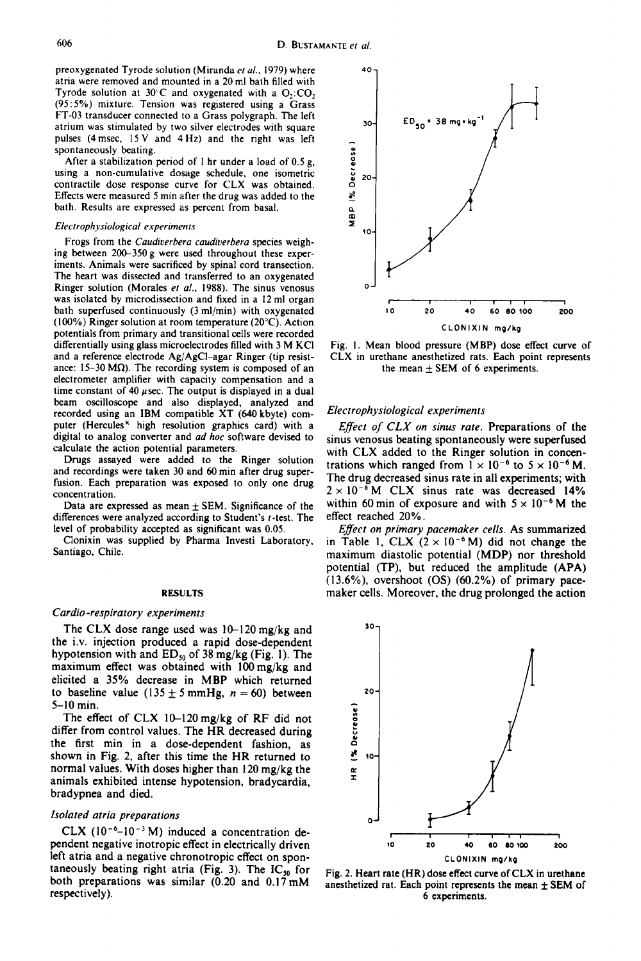preoxygenated Tyrode solution (Miranda *et al.*, 1979) where 40 atria were removed and mounted in a 20 ml bath filled with Tyrode solution at  $30^{\circ}$ C and oxygenated with a O,:CO, (95:5%) mixture. Tension was registered using a Grass FT-03 transducer connected to a Grass polygraph. The left atrium was stimulated by two silver electrodes with square pulses (4msec, 15V and 4Hz) and the right was left spontaneously beating.

After a stabilization period of I hr under a load of 0.5 g, using a non-cumulative dosage schedule, one isometric contractile dose response curve for CLX was obtained. Effects were measured 5 min after the drug was added to the bath. Results are expressed as percent from basal.

#### *Electrophysiological experiments*

Frogs from the *Caudiverbera caudiverbera* species weighing between 200-350 g were used throughout these experiments. Animals were sacrificed by spinal cord transection. The heart was dissected and transferred to an oxygenated Ringer solution (Morales *et al.,* 1988). The sinus venosus was isolated by microdissection and fixed in a 12 ml organ bath superfused continuously (3 ml/min) with oxygenated (100%) Ringer solution at room temperature (20°C). Action potentials from primary and transitional cells were recorded differentially using glass microelectrodes filled with 3 M KCI and a reference electrode Ag/AgCl-agar Ringer (tip resistance: 15-30 M $\Omega$ ). The recording system is composed of an electrometer amplifier with capacity compensation and a time constant of 40  $\mu$ sec. The output is displayed in a dual beam oscilloscope and also displayed, analyzed and recorded using an IBM compatible XT (640 kbyte) computer (Hercules<sup>x</sup> high resolution graphics card) with a digital to analog converter and *ad hoc* software devised to calculate the action potential parameters.

Drugs assayed were added to the Ringer solution and recordings were taken 30 and 60 min after drug superfusion. Each preparation was exposed to only one drug concentration.

Data are expressed as mean  $\pm$  SEM. Significance of the differences were analyzed according to Student's t-test. The level of probability accepted as significant was 0.05.

Clonixin was supplied by Pharma Investi Laboratory, Santiago, Chile.

## RESULTS

## *Cardio-respiratory experiments*

The CLX dose range used was 10-120 mg/kg and the i.v. injection produced a rapid dose-dependent hypotension with and  $ED_{50}$  of 38 mg/kg (Fig. 1). The maximum effect was obtained with 100mg/kg and elicited a 35% decrease in MBP which returned to baseline value  $(135 \pm 5 \text{ mmHg}, n = 60)$  between 5-10 min.

The effect of CLX 10-120mg/kg of RF did not differ from control values. The HR decreased during the first min in a dose-dependent fashion, as shown in Fig. 2, after this time the HR returned to normal values. With doses higher than 120 mg/kg the animals exhibited intense hypotension, bradycardia, bradypnea and died.

# *Isolated atria preparations*

CLX  $(10^{-6}-10^{-3} M)$  induced a concentration dependent negative inotropic effect in electrically driven left atria and a negative chronotropic effect on spontaneously beating right atria (Fig. 3). The  $IC_{50}$  for both preparations was similar  $(0.20 \text{ and } 0.17 \text{ mM})$ respectively).



Fig. 1. Mean blood pressure (MBP) dose effect curve of CLX in urethane anesthetized rats. Each point represents the mean  $\pm$  SEM of 6 experiments.

# *Electrophysiological experiments*

*Effect of CLX on sinus rate.* Preparations of the sinus venosus beating spontaneously were superfused with CLX added to the Ringer solution in concentrations which ranged from  $1 \times 10^{-6}$  to  $5 \times 10^{-6}$  M. The drug decreased sinus rate in all experiments; with  $2 \times 10^{-6}$  M CLX sinus rate was decreased 14% within 60 min of exposure and with  $5 \times 10^{-6}$  M the effect reached 20%.

*Effect on primary pacemaker cells.* As summarized in Table 1, CLX  $(2 \times 10^{-6} \text{ M})$  did not change the maximum diastolic potential (MDP) nor threshold potential (TP), but reduced the amplitude (APA) (13.6%), overshoot (OS) (60.2%) of primary pacemaker cells. Moreover, the drug prolonged the action



Fig. 2. Heart rate (HR) dose effect curve of CLX in urethane anesthetized rat. Each point represents the mean  $\pm$  SEM of 6 experiments.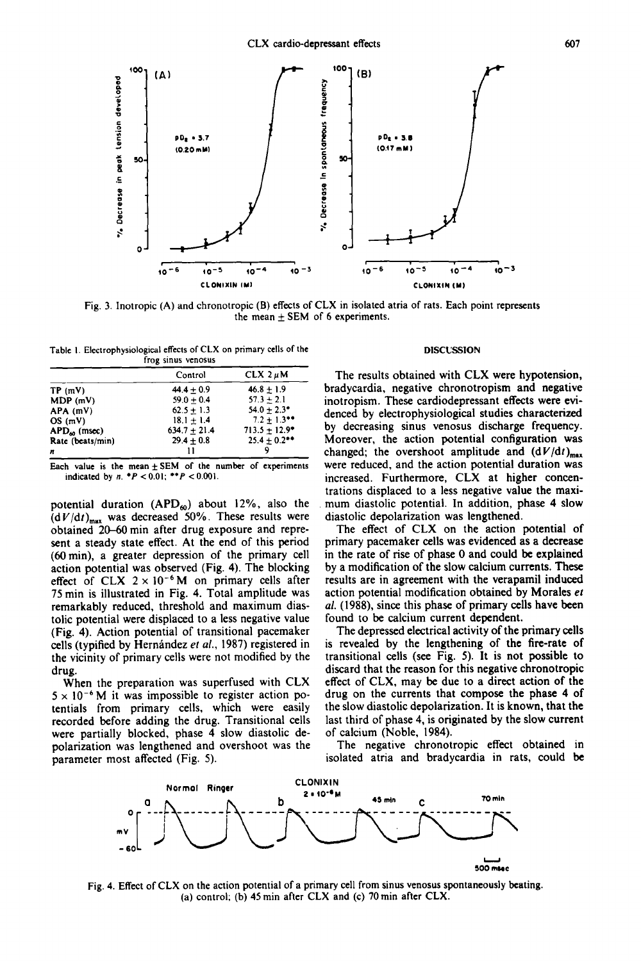

Fig. 3. Inotropic (A) and chronotropic (B) effects of CLX in isolated atria of rats. Each point represents the mean  $\pm$  SEM of 6 experiments.

| Table 1. Electrophysiological effects of CLX on primary cells of the |                    |  |
|----------------------------------------------------------------------|--------------------|--|
|                                                                      | frog sinus venosus |  |

|                   | Control        | $CLX$ 2 $\mu$ M          |
|-------------------|----------------|--------------------------|
| TP(mV)            | $44.4 + 0.9$   | $46.8 \pm 1.9$           |
| MDP(mV)           | $59.0 + 0.4$   | $57.3 \pm 2.1$           |
| APA (mV)          | $62.5 + 1.3$   | $54.0 + 2.3$ *           |
| OS(mV)            | $18.1 + 1.4$   | $7.2 \pm 1.3$ **         |
| $APD_{40}$ (msec) | $634.7 + 21.4$ | $713.5 \pm 12.9^{\circ}$ |
| Rate (beats/min)  | $29.4 \pm 0.8$ | $25.4 + 0.2$ **          |
| n                 | 11             |                          |

Each value is the mean  $\pm$  SEM of the number of experiments indicated by  $n. *P < 0.01; **P < 0.001$ .

potential duration  $(APD<sub>60</sub>)$  about 12%, also the  $(dV/dt)_{\text{max}}$  was decreased 50%. These results were obtained 20-60 min after drug exposure and represent a steady state effect. At the end of this period (60 min), a greater depression of the primary cell action potential was observed (Fig. 4). The blocking effect of CLX  $2 \times 10^{-6}$  M on primary cells after 75 min is illustrated in Fig. 4. Total amplitude was remarkably reduced, threshold and maximum diastolic potential were displaced to a less negative value (Fig. 4). Action potential of transitional pacemaker cells (typified by Hernández et al., 1987) registered in the vicinity of primary cells were not modified by the drug.

When the preparation was superfused with CLX  $5 \times 10^{-6}$  M it was impossible to register action potentials from primary cells, which were easily recorded before adding the drug. Transitional cells were partially blocked, phase 4 slow diastolic depolarization was lengthened and overshoot was the parameter most affected (Fig. 5).

## **DISCUSSION**

The results obtained with CLX were hypotension, bradycardia, negative chronotropism and negative inotropism. These cardiodepressant effects were evidenced by electrophysiological studies characterized by decreasing sinus venosus discharge frequency. Moreover, the action potential configuration was changed; the overshoot amplitude and  $(dV/dt)_{max}$ were reduced, and the action potential duration was increased. Furthermore, CLX at higher concentrations displaced to a less negative value the maxi mum diastolic potential. In addition, phase 4 slow diastolic depolarization was lengthened.

The effect of CLX on the action potential of primary pacemaker cells was evidenced as a decrease in the rate of rise of phase 0 and could be explained by a modification of the slow calcium currents. These results are in agreement with the verapamil induced action potential modification obtained by Morales *et al.* (1988), since this phase of primary cells have been found to be calcium current dependent.

The depressed electrical activity of the primary cells is revealed by the lengthening of the fire-rate of transitional cells (see Fig. 5). It is not possible to discard that the reason for this negative chronotropic effect of CLX, may be due to a direct action of the drug on the currents that compose the phase 4 of the slow diastolic depolarization. It is known, that the last third of phase 4, is originated by the slow current of calcium (Noble, 1984).

The negative chronotropic effect obtained in isolated atria and bradycardia in rats, could be



Fig. 4. Effect of CLX on the action potential of a primary cell from sinus venosus spontaneously beating. (a) control; (b) 45 rain after CLX **and** (c) 70 rain after CLX.